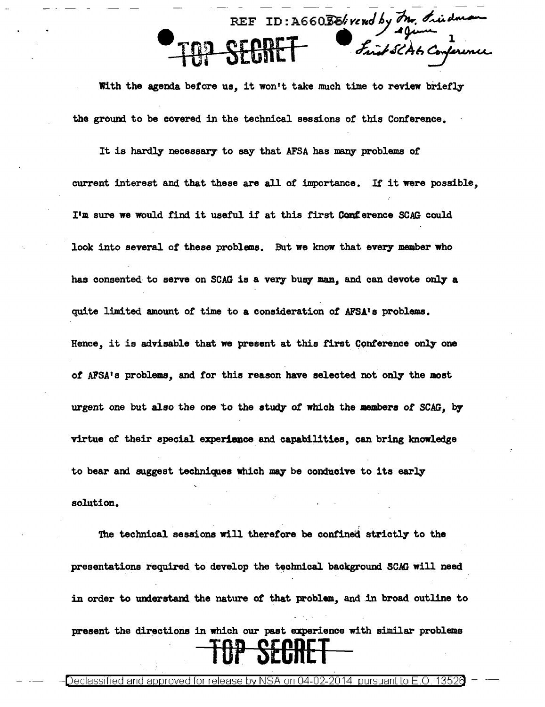$- - - - - - - - - REF$  ID:  $A660$ BE/; rened by  $\partial n$ , friedman TOP SECRET Suitsches Conference

With the agenda before us, it won't take much time to review briefly the ground to be covered in the technical sessions of this Conference.

It is hardly necessary to say that AFSA has many problems of current interest and that these are all of importance. If it were possible, I'm sure we would find it useful if at this first Conference SCAG could look into several of these problems. But we know that every member who has consented to serve on SCAG is a very busy man, and can devote only a quite limited amount of time to a consideration or AFSA's problems. Hence, it is advisable that we present at this first Conference only one of AFSA's problems, and for this reason have selected not only the most urgent one but also the one to the study *of* which the members of SCAG, by virtue of their special experience and capabilities, can bring knowledge to bear and suggest techniques which may be conducive to its early solution.

The technical sessions will therefore be confined strictly to the presentations required to develop the technical background SCAG will need in order to understand the nature of that problem, and in broad outline to present the directions in which our past experience with similar problems TOP SECRET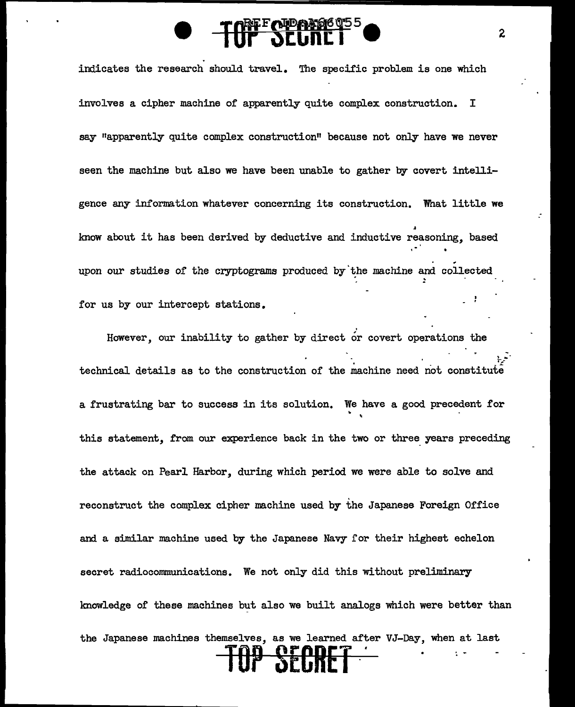indicates the research should travel. The specific problem is one which involves a cipher machine of apparently quite complex construction. I say "apparently quite complex construction" because not only have we never seen the machine but also we have been unable to gather by covert intelligence any information whatever concerning its construction. What little we *A*  know about it has been derived by deductive and inductive reasoning, based upon our studies of the cryptograms produced by the machine and collected ! for us by our intercept stations.

.<br>However, our inability to gather by direct or covert operations the ~ technical details as to the construction of the machine need not constitute a frustrating bar to success in its solution. We have a good precedent for this statement, from our experience back in the two or three years preceding the attack on Pearl Harbor, during which period we were able to solve and reconstruct the complex cipher machine used by the Japanese Foreign Office and a similar machine used by the Japanese Navy for their highest echelon secret radiocommunications. We not only did this without preliminary knowledge of these machines but also we built analogs which were better than the Japanese machines themselves, as we learned after VJ-Day, when at last **TOP SECRET** -.

,

2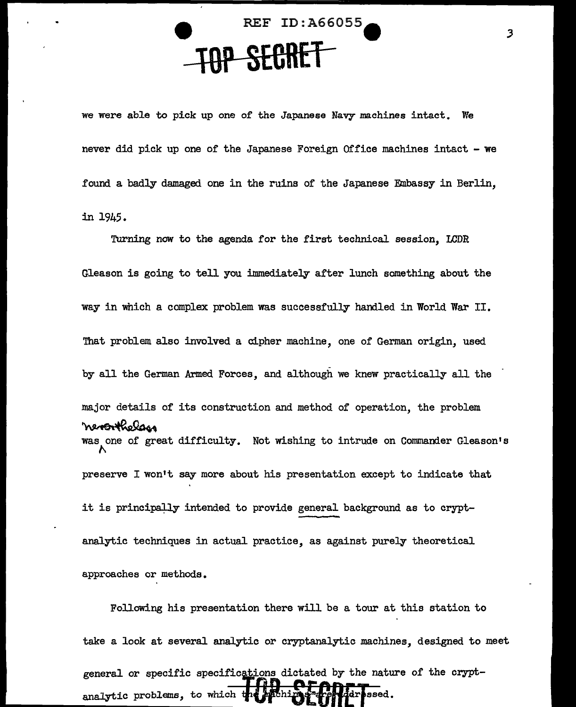**e** REF ID:A66055e **-lQP SECRET-**

we were able to pick up one of the Japanese Navy machines intact. We never did pick up one of the Japanese Foreign Office machines intact - we found a badly damaged one in the ruins of the Japanese Embassy in Berlin, in 1945.

Turning now to the agenda for the first technical session, LCDR Gleason is going to tell you immediately after lunch something about the way in which a complex problem was successfully handled in World War II. That problem also involved a cipher machine, one of German origin, used by all the German Armed Forces, and although we knew practically all the major details of its construction and method of operation, the problem by all the German Armed Forces, and although we knew practically all the<br>major details of its construction and method of operation, the problem<br>was one of great difficulty. Not wishing to intrude on Commander Gleason's  $\mathcal{N}_{\mathcal{N}}$ preserve I won't say more about his presentation except to indicate that it is principally intended to provide general background as to cryptanalytic techniques in actual practice, as against purely theoretical approaches or methods.

Following his presentation there will be a tour at this station to take a look at several analytic or cryptanalytic machines, designed to meet general or specific specifications dictated by the nature of the cryptanalytic problems, to which the hathin frame and issed.

3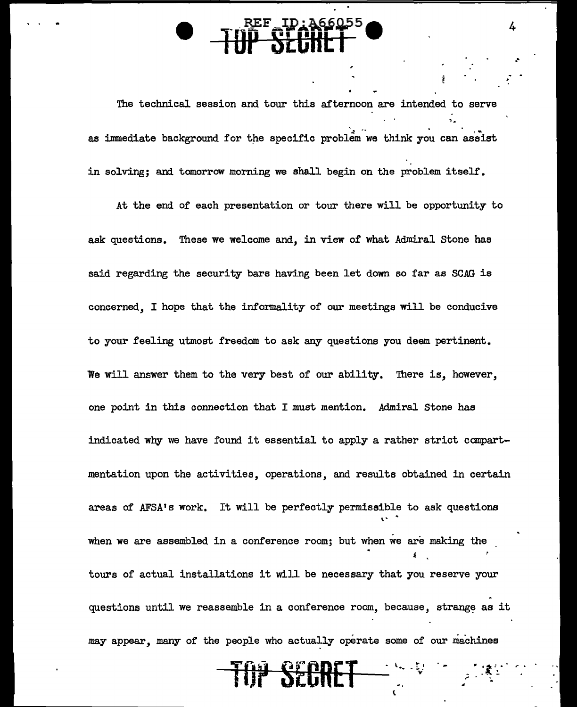The technical session and tour this afternoon are intended to serve 1. as immediate background for the specific problem we think you can assist in solving; and tomorrow morning we shall begin on the problem itself.

4

.•  $\frac{1}{2}$  .

"·~'.·. ; ~

At the end of each presentation or tour there will be opportunity to ask questions. These we welcome and, in view of what Admiral Stone has said regarding the security bars having been let down so far as SCAG is concerned, I hope that the informality of our meetings will be conducive to your feeling utmost freedom to ask any questions you deem pertinent. We will answer them to the very best of our ability. There is, however, one point in this connection that I must mention. Admiral Stone has indicated why we have found it essential to apply a rather strict compartmentation upon the activities, operations, and results obtained in certain areas of AFSA's work. It will be perfectly permissible to ask questions when we are assembled in a conference room; but when we are making the ' tours of actual installations it will be necessary that you reserve your questions until we reassemble in a conference room, because, strange as it may appear, many of the people who actually operate some of our machines